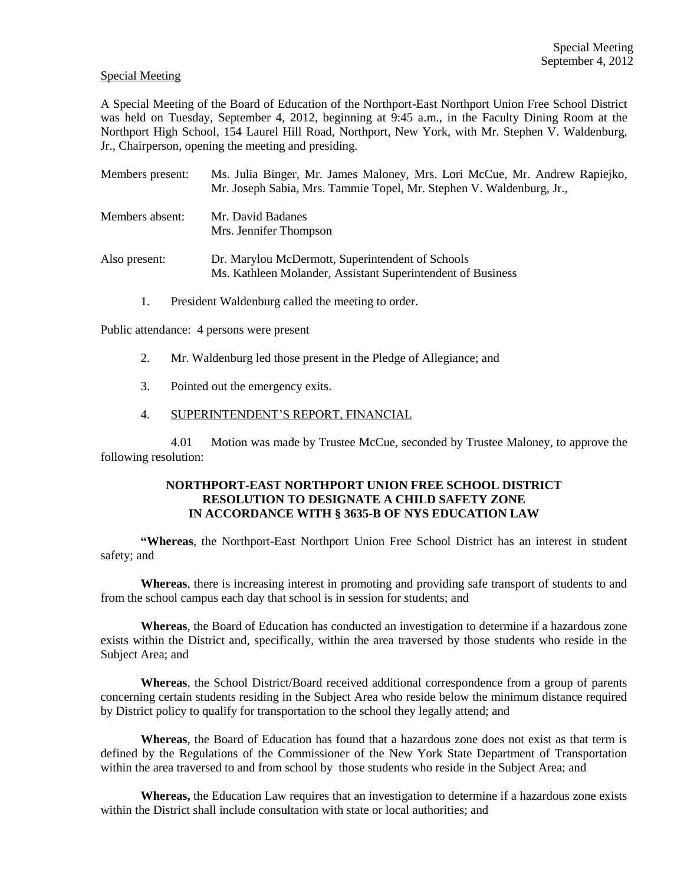## Special Meeting

A Special Meeting of the Board of Education of the Northport-East Northport Union Free School District was held on Tuesday, September 4, 2012, beginning at 9:45 a.m., in the Faculty Dining Room at the Northport High School, 154 Laurel Hill Road, Northport, New York, with Mr. Stephen V. Waldenburg, Jr., Chairperson, opening the meeting and presiding.

| Members present: | Ms. Julia Binger, Mr. James Maloney, Mrs. Lori McCue, Mr. Andrew Rapiejko,<br>Mr. Joseph Sabia, Mrs. Tammie Topel, Mr. Stephen V. Waldenburg, Jr., |
|------------------|----------------------------------------------------------------------------------------------------------------------------------------------------|
| Members absent:  | Mr. David Badanes<br>Mrs. Jennifer Thompson                                                                                                        |
| Also present:    | Dr. Marylou McDermott, Superintendent of Schools<br>Ms. Kathleen Molander, Assistant Superintendent of Business                                    |

1. President Waldenburg called the meeting to order.

Public attendance: 4 persons were present

- 2. Mr. Waldenburg led those present in the Pledge of Allegiance; and
- 3. Pointed out the emergency exits.
- 4. SUPERINTENDENT'S REPORT, FINANCIAL

4.01 Motion was made by Trustee McCue, seconded by Trustee Maloney, to approve the following resolution:

## **NORTHPORT-EAST NORTHPORT UNION FREE SCHOOL DISTRICT RESOLUTION TO DESIGNATE A CHILD SAFETY ZONE IN ACCORDANCE WITH § 3635-B OF NYS EDUCATION LAW**

**"Whereas**, the Northport-East Northport Union Free School District has an interest in student safety; and

**Whereas**, there is increasing interest in promoting and providing safe transport of students to and from the school campus each day that school is in session for students; and

**Whereas**, the Board of Education has conducted an investigation to determine if a hazardous zone exists within the District and, specifically, within the area traversed by those students who reside in the Subject Area; and

**Whereas**, the School District/Board received additional correspondence from a group of parents concerning certain students residing in the Subject Area who reside below the minimum distance required by District policy to qualify for transportation to the school they legally attend; and

**Whereas**, the Board of Education has found that a hazardous zone does not exist as that term is defined by the Regulations of the Commissioner of the New York State Department of Transportation within the area traversed to and from school by those students who reside in the Subject Area; and

**Whereas,** the Education Law requires that an investigation to determine if a hazardous zone exists within the District shall include consultation with state or local authorities; and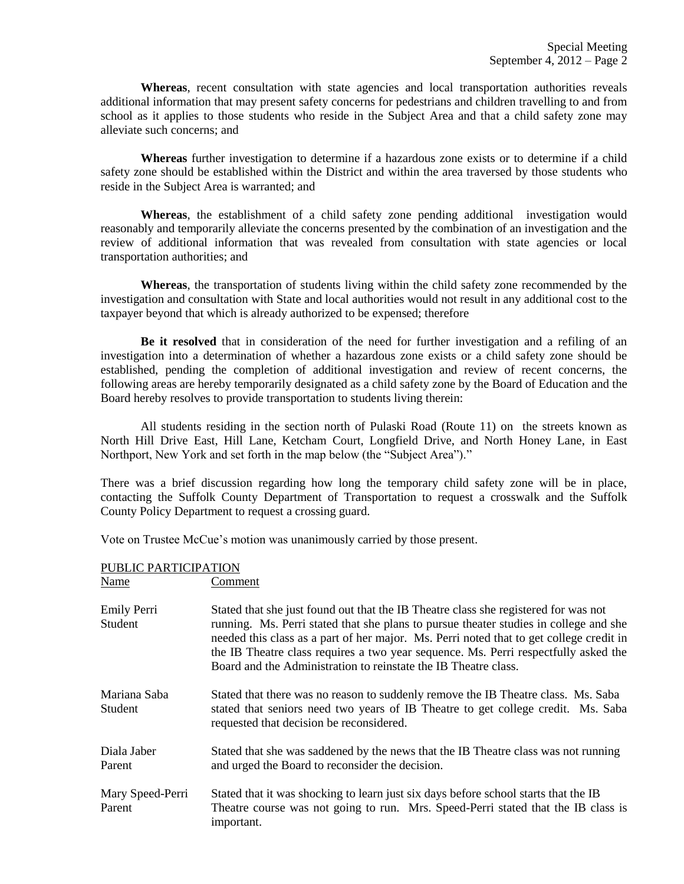**Whereas**, recent consultation with state agencies and local transportation authorities reveals additional information that may present safety concerns for pedestrians and children travelling to and from school as it applies to those students who reside in the Subject Area and that a child safety zone may alleviate such concerns; and

**Whereas** further investigation to determine if a hazardous zone exists or to determine if a child safety zone should be established within the District and within the area traversed by those students who reside in the Subject Area is warranted; and

**Whereas**, the establishment of a child safety zone pending additional investigation would reasonably and temporarily alleviate the concerns presented by the combination of an investigation and the review of additional information that was revealed from consultation with state agencies or local transportation authorities; and

**Whereas**, the transportation of students living within the child safety zone recommended by the investigation and consultation with State and local authorities would not result in any additional cost to the taxpayer beyond that which is already authorized to be expensed; therefore

**Be it resolved** that in consideration of the need for further investigation and a refiling of an investigation into a determination of whether a hazardous zone exists or a child safety zone should be established, pending the completion of additional investigation and review of recent concerns, the following areas are hereby temporarily designated as a child safety zone by the Board of Education and the Board hereby resolves to provide transportation to students living therein:

All students residing in the section north of Pulaski Road (Route 11) on the streets known as North Hill Drive East, Hill Lane, Ketcham Court, Longfield Drive, and North Honey Lane, in East Northport, New York and set forth in the map below (the "Subject Area")."

There was a brief discussion regarding how long the temporary child safety zone will be in place, contacting the Suffolk County Department of Transportation to request a crosswalk and the Suffolk County Policy Department to request a crossing guard.

Vote on Trustee McCue's motion was unanimously carried by those present.

## PUBLIC PARTICIPATION Name Comment

| 1 1 uu 11 v                | -----------                                                                                                                                                                                                                                                                                                                                                                                                                       |
|----------------------------|-----------------------------------------------------------------------------------------------------------------------------------------------------------------------------------------------------------------------------------------------------------------------------------------------------------------------------------------------------------------------------------------------------------------------------------|
| Emily Perri<br>Student     | Stated that she just found out that the IB Theatre class she registered for was not<br>running. Ms. Perri stated that she plans to pursue theater studies in college and she<br>needed this class as a part of her major. Ms. Perri noted that to get college credit in<br>the IB Theatre class requires a two year sequence. Ms. Perri respectfully asked the<br>Board and the Administration to reinstate the IB Theatre class. |
| Mariana Saba<br>Student    | Stated that there was no reason to suddenly remove the IB Theatre class. Ms. Saba<br>stated that seniors need two years of IB Theatre to get college credit. Ms. Saba<br>requested that decision be reconsidered.                                                                                                                                                                                                                 |
| Diala Jaber<br>Parent      | Stated that she was saddened by the news that the IB Theatre class was not running<br>and urged the Board to reconsider the decision.                                                                                                                                                                                                                                                                                             |
| Mary Speed-Perri<br>Parent | Stated that it was shocking to learn just six days before school starts that the IB<br>Theatre course was not going to run. Mrs. Speed-Perri stated that the IB class is<br>important.                                                                                                                                                                                                                                            |